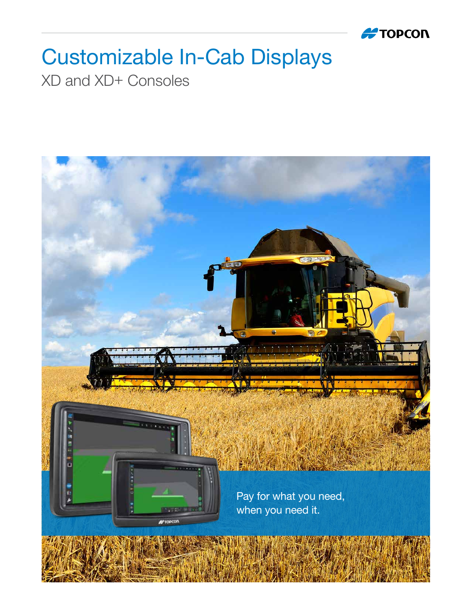

## Customizable In-Cab Displays

XD and XD+ Consoles

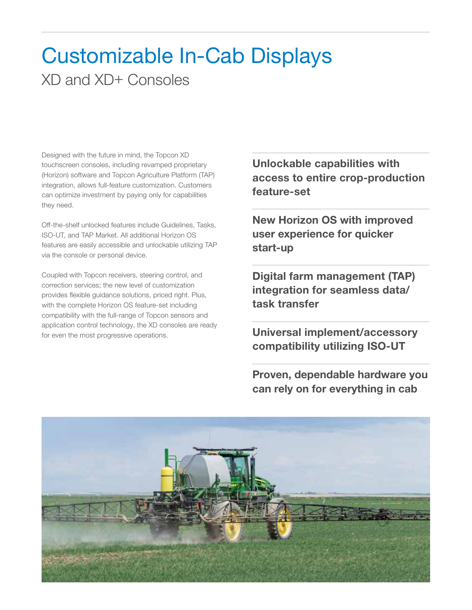## Customizable In-Cab Displays XD and XD+ Consoles

Designed with the future in mind, the Topcon XD touchscreen consoles, including revamped proprietary (Horizon) software and Topcon Agriculture Platform (TAP) integration, allows full-feature customization. Customers can optimize investment by paying only for capabilities they need.

Off-the-shelf unlocked features include Guidelines, Tasks, ISO-UT, and TAP Market. All additional Horizon OS features are easily accessible and unlockable utilizing TAP via the console or personal device.

Coupled with Topcon receivers, steering control, and correction services; the new level of customization provides flexible guidance solutions, priced right. Plus, with the complete Horizon OS feature-set including compatibility with the full-range of Topcon sensors and application control technology, the XD consoles are ready for even the most progressive operations.

Unlockable capabilities with access to entire crop-production feature-set

New Horizon OS with improved user experience for quicker start-up

Digital farm management (TAP) integration for seamless data/ task transfer

Universal implement/accessory compatibility utilizing ISO-UT

Proven, dependable hardware you can rely on for everything in cab

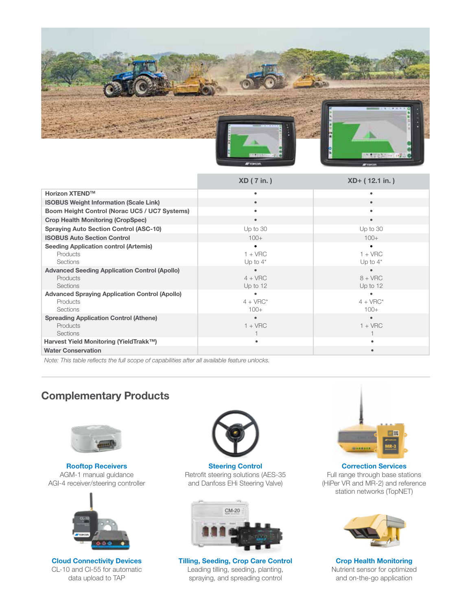

|                                                                                      | $XD$ ( 7 in.)            | XD+ (12.1 in.)           |
|--------------------------------------------------------------------------------------|--------------------------|--------------------------|
| <b>Horizon XTEND™</b>                                                                |                          |                          |
| <b>ISOBUS Weight Information (Scale Link)</b>                                        |                          |                          |
| Boom Height Control (Norac UC5 / UC7 Systems)                                        |                          |                          |
| <b>Crop Health Monitoring (CropSpec)</b>                                             | $\bullet$                |                          |
| <b>Spraying Auto Section Control (ASC-10)</b>                                        | Up to $30$               | Up to $30$               |
| <b>ISOBUS Auto Section Control</b>                                                   | $100+$                   | $100+$                   |
| <b>Seeding Application control (Artemis)</b><br>Products<br><b>Sections</b>          | $1 + VRC$<br>Up to $4^*$ | $1 + VRC$<br>Up to $4^*$ |
| <b>Advanced Seeding Application Control (Apollo)</b><br>Products<br>Sections         | $4 + VRC$<br>Up to $12$  | $8 + VRC$<br>Up to $12$  |
| <b>Advanced Spraying Application Control (Apollo)</b><br>Products<br><b>Sections</b> | $4 + VRC^*$<br>$100+$    | $4 + VRC^*$<br>$100+$    |
| <b>Spreading Application Control (Athene)</b><br>Products<br>Sections                | $1 + VRC$                | $1 + VRC$                |
| Harvest Yield Monitoring (YieldTrakk™)                                               | ٠                        |                          |
| <b>Water Conservation</b>                                                            |                          |                          |

*Note: This table reflects the full scope of capabilities after all available feature unlocks.*

## Complementary Products



Rooftop Receivers AGM-1 manual guidance AGI-4 receiver/steering controller



Cloud Connectivity Devices CL-10 and Cl-55 for automatic data upload to TAP



Steering Control Retrofit steering solutions (AES-35 and Danfoss EHi Steering Valve)



Tilling, Seeding, Crop Care Control Leading tilling, seeding, planting, spraying, and spreading control



Correction Services Full range through base stations (HiPer VR and MR-2) and reference station networks (TopNET)



Crop Health Monitoring Nutrient sensor for optimized and on-the-go application